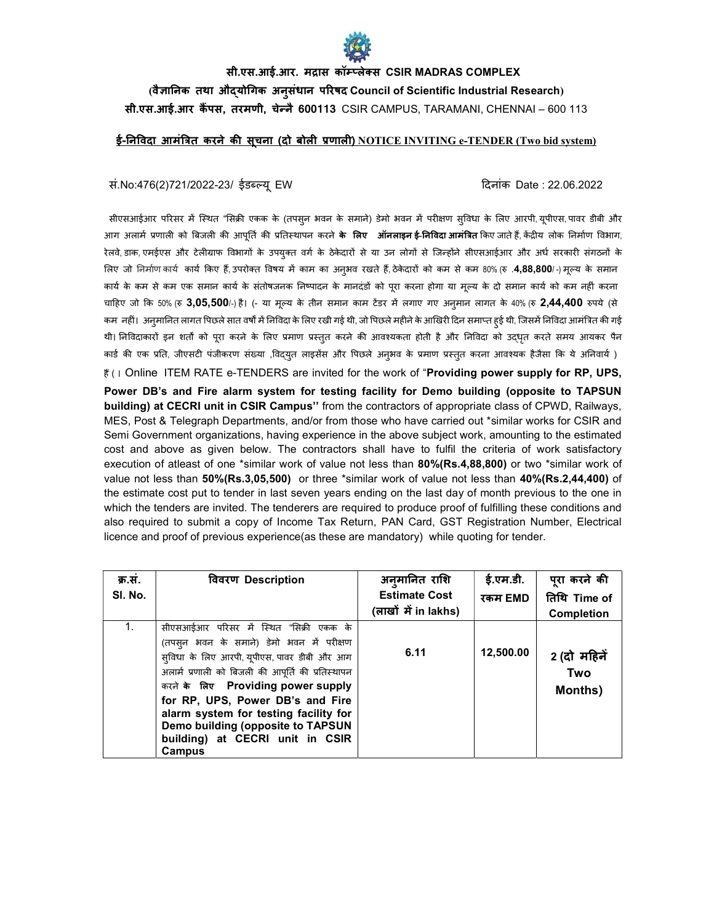

## सी.एस.आई.आर. मद्रास कॉम्प्लेक्स CSIR MADRAS COMPLEX (वैज्ञानिक तथा औदयोगिक अनुसंधान परिषद Council of Scientific Industrial Research) सी.एस.आई.आर कैंपस, तरमणी, चेन्नै 600113 CSIR CAMPUS, TARAMANI, CHENNAI – 600 113

## <u>ई-निविदा आमंत्रित करने की सचना (दो बोली प्रणाली) NOTICE INVITING e-TENDER (Two bid system)</u>

## सं.No:476(2)721/2022-23/ ईडब्ल्यू EW

दिनांक Date : 22.06.2022

सीएसआईआर परिसर में स्थित "सिक्री एकक के (तपसुन भवन के समाने) डेमो भवन में परीक्षण सुविधा के लिए आरपी, यूपीएस, पावर डीबी और आग अलार्म प्रणाली को बिजली की आपूर्ति की प्रतिस्थापन करने **के लिए ऑनलाइनई-निविदा आमंत्रित** किए जाते हैं, केंद्रीय लोक निर्माण विभाग, रेलवे, डाक, एमईएस और टेलीग्राफ विभागों के उपयुक्त वर्ग के ठेकेदारों से या उन लोगों से जिन्होंने सीएसआईआर और अर्ध सरकारी संगठनों के लिए जो निर्माण कार्य कार्य किए हैं, उपरोक्त विषय में काम का अनुभव रखते हैं, ठेकेदारों को कम से कम 80% (रु .4,88,800/-) मूल्य के समान कार्य के कम से कम एक समान कार्य के संतोषजनक निष्पादन के मानदंडों को परा करना होगा या मल्य के दो समान कार्य को कम नहीं करना चाहिए जो कि 50% (रु 3,05,500/-) है। (- या मूल्य के तीन समान काम टेंडर में लगाए गए अनुमान लागत के 40% (रु 2,44,400 रुपये (से कम नहीं। अनुमानित लागत पिछले सात वर्षों में निविदा के लिए रखी गई थी, जो पिछले महीने के आखिरी दिन समाप्त हई थी, जिसमें निविदा आमंत्रित की गई थी। निविदाकारों इन शर्तों को पूरा करने के लिए प्रमाण प्रस्तुत करने की आवश्यकता होती है और निविदा को उदधृत करते समय आयकर पैन कार्ड की एक प्रति, जीएसटी पंजीकरण संख्या ,विदयत लाइसेंस और पिछले अनुभव के प्रमाण प्रस्तुत करना आवश्यक हैजैसा कि ये अनिवार्य )

the world of "Providing power supply for the work of "Providing power supply for RP, UPS, Power DB's and Fire alarm system for testing facility for Demo building (opposite to TAPSUN building) at CECRI unit in CSIR Campus" from the contractors of appropriate class of CPWD, Railways, MES, Post & Telegraph Departments, and/or from those who have carried out \*similar works for CSIR and Semi Government organizations, having experience in the above subject work, amounting to the estimated cost and above as given below. The contractors shall have to fulfil the criteria of work satisfactory execution of atleast of one \*similar work of value not less than 80%(Rs.4,88,800) or two \*similar work of value not less than 50% (Rs.3,05,500) or three \*similar work of value not less than 40% (Rs.2,44,400) of the estimate cost put to tender in last seven years ending on the last day of month previous to the one in which the tenders are invited. The tenderers are required to produce proof of fulfilling these conditions and also required to submit a copy of Income Tax Return, PAN Card, GST Registration Number, Electrical licence and proof of previous experience(as these are mandatory) while quoting for tender.

| क्र.स.  | विवरण Description                                                                                                                                                                                                                                                                                                                                                                                      | अनुमानित राशि        | ई.एम.डी.  | पुरा करने की                  |
|---------|--------------------------------------------------------------------------------------------------------------------------------------------------------------------------------------------------------------------------------------------------------------------------------------------------------------------------------------------------------------------------------------------------------|----------------------|-----------|-------------------------------|
| SI. No. |                                                                                                                                                                                                                                                                                                                                                                                                        | <b>Estimate Cost</b> | रकम EMD   | तिथि Time of                  |
|         |                                                                                                                                                                                                                                                                                                                                                                                                        | (लाखों में in lakhs) |           | <b>Completion</b>             |
| 1.      | सीएसआईआर परिसर में स्थित "सिक्री एकक के<br>(तपस् <b>न भवन के समाने) डेमो भवन में परीक्ष</b> ण<br>सुविधा के लिए आरपी, यूपीएस, पावर डीबी और आग<br>अलार्म प्रणाली को बिजली की आपूर्ति की प्रतिस्थापन<br>करने के लिए Providing power supply<br>for RP, UPS, Power DB's and Fire<br>alarm system for testing facility for<br>Demo building (opposite to TAPSUN<br>building) at CECRI unit in CSIR<br>Campus | 6.11                 | 12,500.00 | 2 (दो महिने<br>Two<br>Months) |